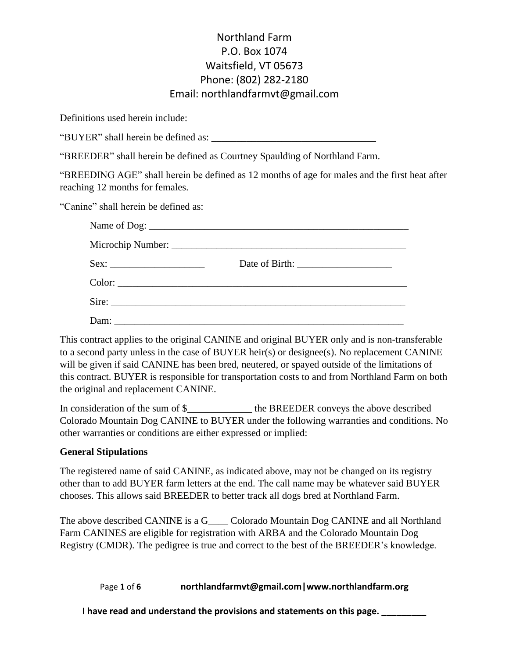Definitions used herein include:

"BUYER" shall herein be defined as:

"BREEDER" shall herein be defined as Courtney Spaulding of Northland Farm.

"BREEDING AGE" shall herein be defined as 12 months of age for males and the first heat after reaching 12 months for females.

"Canine" shall herein be defined as:

This contract applies to the original CANINE and original BUYER only and is non-transferable to a second party unless in the case of BUYER heir(s) or designee(s). No replacement CANINE will be given if said CANINE has been bred, neutered, or spayed outside of the limitations of this contract. BUYER is responsible for transportation costs to and from Northland Farm on both the original and replacement CANINE.

In consideration of the sum of \$\_\_\_\_\_\_\_\_\_\_\_\_\_ the BREEDER conveys the above described Colorado Mountain Dog CANINE to BUYER under the following warranties and conditions. No other warranties or conditions are either expressed or implied:

#### **General Stipulations**

The registered name of said CANINE, as indicated above, may not be changed on its registry other than to add BUYER farm letters at the end. The call name may be whatever said BUYER chooses. This allows said BREEDER to better track all dogs bred at Northland Farm.

The above described CANINE is a G\_\_\_\_ Colorado Mountain Dog CANINE and all Northland Farm CANINES are eligible for registration with ARBA and the Colorado Mountain Dog Registry (CMDR). The pedigree is true and correct to the best of the BREEDER's knowledge.

Page **1** of **6 northlandfarmvt@gmail.com|www.northlandfarm.org**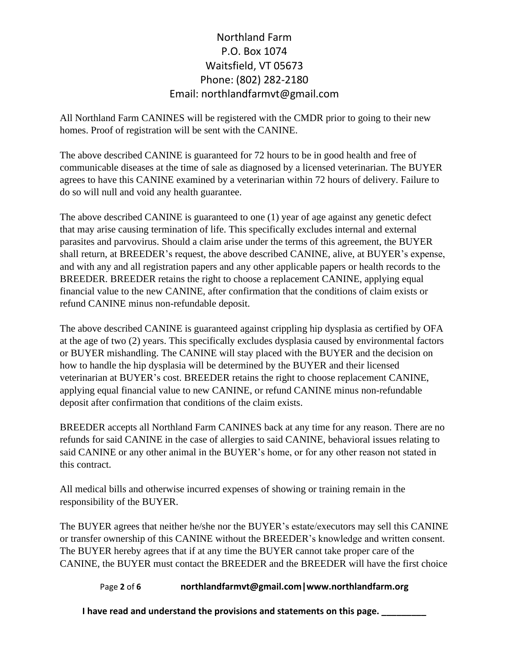All Northland Farm CANINES will be registered with the CMDR prior to going to their new homes. Proof of registration will be sent with the CANINE.

The above described CANINE is guaranteed for 72 hours to be in good health and free of communicable diseases at the time of sale as diagnosed by a licensed veterinarian. The BUYER agrees to have this CANINE examined by a veterinarian within 72 hours of delivery. Failure to do so will null and void any health guarantee.

The above described CANINE is guaranteed to one (1) year of age against any genetic defect that may arise causing termination of life. This specifically excludes internal and external parasites and parvovirus. Should a claim arise under the terms of this agreement, the BUYER shall return, at BREEDER's request, the above described CANINE, alive, at BUYER's expense, and with any and all registration papers and any other applicable papers or health records to the BREEDER. BREEDER retains the right to choose a replacement CANINE, applying equal financial value to the new CANINE, after confirmation that the conditions of claim exists or refund CANINE minus non-refundable deposit.

The above described CANINE is guaranteed against crippling hip dysplasia as certified by OFA at the age of two (2) years. This specifically excludes dysplasia caused by environmental factors or BUYER mishandling. The CANINE will stay placed with the BUYER and the decision on how to handle the hip dysplasia will be determined by the BUYER and their licensed veterinarian at BUYER's cost. BREEDER retains the right to choose replacement CANINE, applying equal financial value to new CANINE, or refund CANINE minus non-refundable deposit after confirmation that conditions of the claim exists.

BREEDER accepts all Northland Farm CANINES back at any time for any reason. There are no refunds for said CANINE in the case of allergies to said CANINE, behavioral issues relating to said CANINE or any other animal in the BUYER's home, or for any other reason not stated in this contract.

All medical bills and otherwise incurred expenses of showing or training remain in the responsibility of the BUYER.

The BUYER agrees that neither he/she nor the BUYER's estate/executors may sell this CANINE or transfer ownership of this CANINE without the BREEDER's knowledge and written consent. The BUYER hereby agrees that if at any time the BUYER cannot take proper care of the CANINE, the BUYER must contact the BREEDER and the BREEDER will have the first choice

#### Page **2** of **6 northlandfarmvt@gmail.com|www.northlandfarm.org**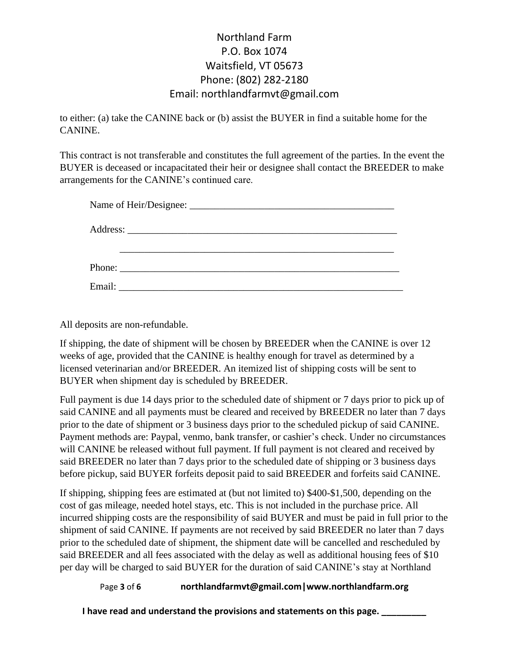to either: (a) take the CANINE back or (b) assist the BUYER in find a suitable home for the CANINE.

This contract is not transferable and constitutes the full agreement of the parties. In the event the BUYER is deceased or incapacitated their heir or designee shall contact the BREEDER to make arrangements for the CANINE's continued care.

| Email: | <u> 1980 - Jan James Barnett, fransk politik (d. 1980)</u> |  |  |  |
|--------|------------------------------------------------------------|--|--|--|

All deposits are non-refundable.

If shipping, the date of shipment will be chosen by BREEDER when the CANINE is over 12 weeks of age, provided that the CANINE is healthy enough for travel as determined by a licensed veterinarian and/or BREEDER. An itemized list of shipping costs will be sent to BUYER when shipment day is scheduled by BREEDER.

Full payment is due 14 days prior to the scheduled date of shipment or 7 days prior to pick up of said CANINE and all payments must be cleared and received by BREEDER no later than 7 days prior to the date of shipment or 3 business days prior to the scheduled pickup of said CANINE. Payment methods are: Paypal, venmo, bank transfer, or cashier's check. Under no circumstances will CANINE be released without full payment. If full payment is not cleared and received by said BREEDER no later than 7 days prior to the scheduled date of shipping or 3 business days before pickup, said BUYER forfeits deposit paid to said BREEDER and forfeits said CANINE.

If shipping, shipping fees are estimated at (but not limited to) \$400-\$1,500, depending on the cost of gas mileage, needed hotel stays, etc. This is not included in the purchase price. All incurred shipping costs are the responsibility of said BUYER and must be paid in full prior to the shipment of said CANINE. If payments are not received by said BREEDER no later than 7 days prior to the scheduled date of shipment, the shipment date will be cancelled and rescheduled by said BREEDER and all fees associated with the delay as well as additional housing fees of \$10 per day will be charged to said BUYER for the duration of said CANINE's stay at Northland

#### Page **3** of **6 northlandfarmvt@gmail.com|www.northlandfarm.org**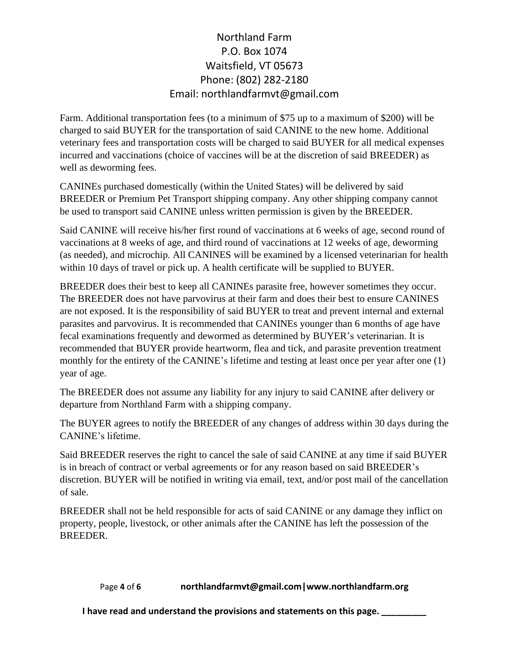Farm. Additional transportation fees (to a minimum of \$75 up to a maximum of \$200) will be charged to said BUYER for the transportation of said CANINE to the new home. Additional veterinary fees and transportation costs will be charged to said BUYER for all medical expenses incurred and vaccinations (choice of vaccines will be at the discretion of said BREEDER) as well as deworming fees.

CANINEs purchased domestically (within the United States) will be delivered by said BREEDER or Premium Pet Transport shipping company. Any other shipping company cannot be used to transport said CANINE unless written permission is given by the BREEDER.

Said CANINE will receive his/her first round of vaccinations at 6 weeks of age, second round of vaccinations at 8 weeks of age, and third round of vaccinations at 12 weeks of age, deworming (as needed), and microchip. All CANINES will be examined by a licensed veterinarian for health within 10 days of travel or pick up. A health certificate will be supplied to BUYER.

BREEDER does their best to keep all CANINEs parasite free, however sometimes they occur. The BREEDER does not have parvovirus at their farm and does their best to ensure CANINES are not exposed. It is the responsibility of said BUYER to treat and prevent internal and external parasites and parvovirus. It is recommended that CANINEs younger than 6 months of age have fecal examinations frequently and dewormed as determined by BUYER's veterinarian. It is recommended that BUYER provide heartworm, flea and tick, and parasite prevention treatment monthly for the entirety of the CANINE's lifetime and testing at least once per year after one (1) year of age.

The BREEDER does not assume any liability for any injury to said CANINE after delivery or departure from Northland Farm with a shipping company.

The BUYER agrees to notify the BREEDER of any changes of address within 30 days during the CANINE's lifetime.

Said BREEDER reserves the right to cancel the sale of said CANINE at any time if said BUYER is in breach of contract or verbal agreements or for any reason based on said BREEDER's discretion. BUYER will be notified in writing via email, text, and/or post mail of the cancellation of sale.

BREEDER shall not be held responsible for acts of said CANINE or any damage they inflict on property, people, livestock, or other animals after the CANINE has left the possession of the BREEDER.

#### Page **4** of **6 northlandfarmvt@gmail.com|www.northlandfarm.org**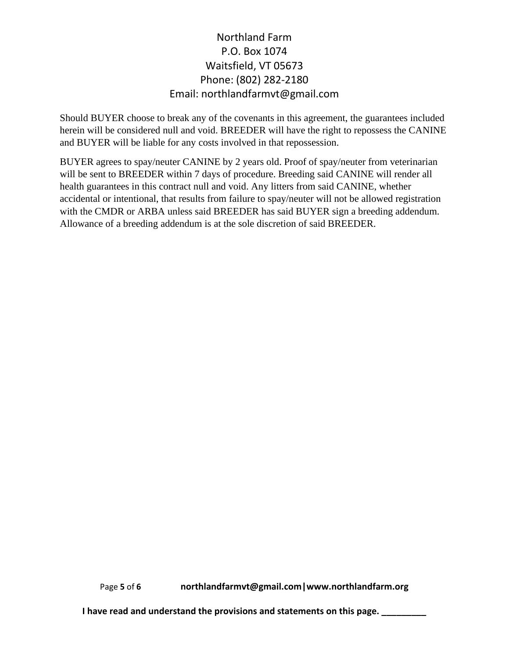Should BUYER choose to break any of the covenants in this agreement, the guarantees included herein will be considered null and void. BREEDER will have the right to repossess the CANINE and BUYER will be liable for any costs involved in that repossession.

BUYER agrees to spay/neuter CANINE by 2 years old. Proof of spay/neuter from veterinarian will be sent to BREEDER within 7 days of procedure. Breeding said CANINE will render all health guarantees in this contract null and void. Any litters from said CANINE, whether accidental or intentional, that results from failure to spay/neuter will not be allowed registration with the CMDR or ARBA unless said BREEDER has said BUYER sign a breeding addendum. Allowance of a breeding addendum is at the sole discretion of said BREEDER.

Page **5** of **6 northlandfarmvt@gmail.com|www.northlandfarm.org**